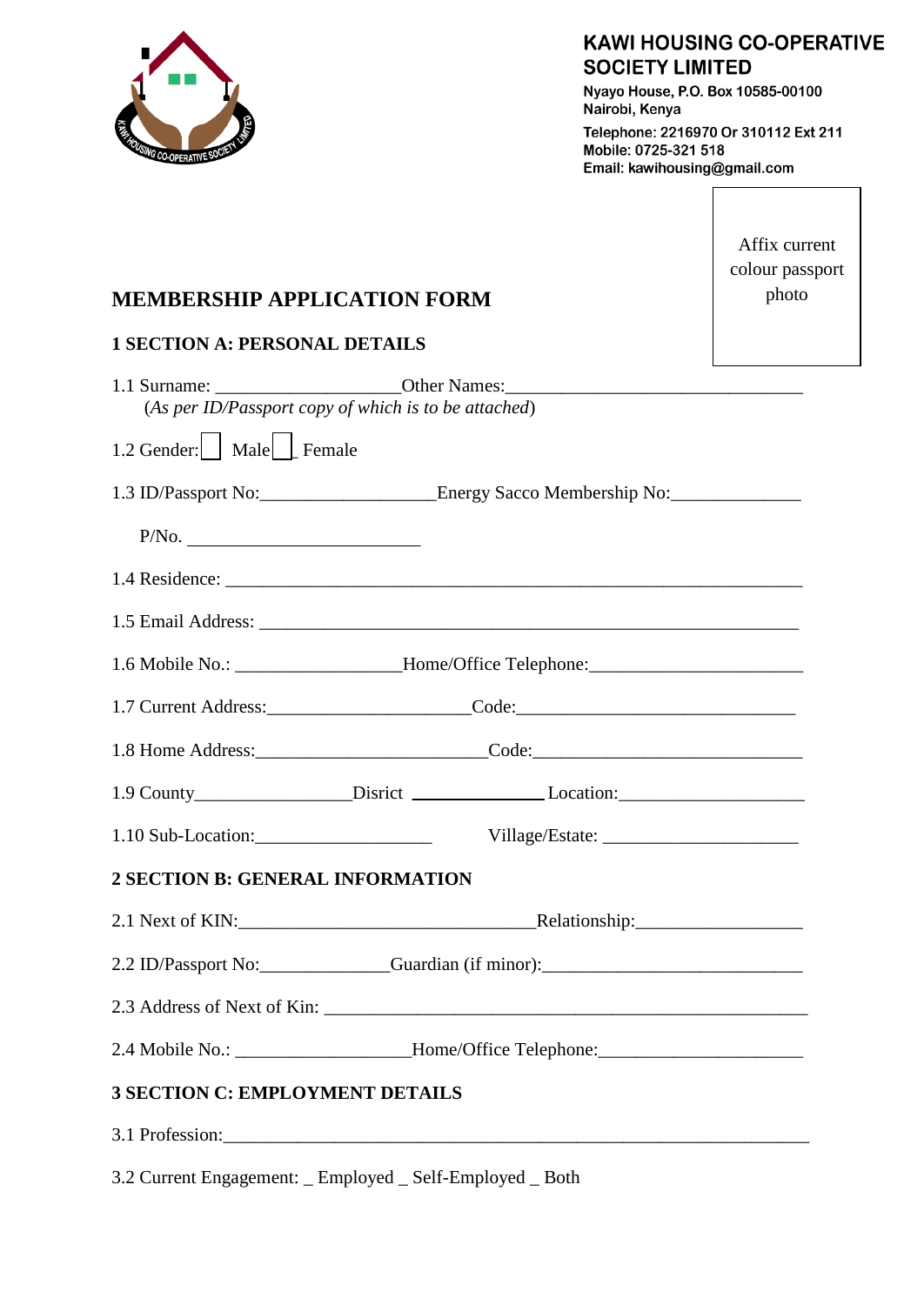

### **KAWI HOUSING CO-OPERATIVE SOCIETY LIMITED**

Nyayo House, P.O. Box 10585-00100 Nairobi, Kenya

Telephone: 2216970 Or 310112 Ext 211 Mobile: 0725-321 518 Email: kawihousing@gmail.com

> Affix current colour passport photo

# **MEMBERSHIP APPLICATION FORM**

#### **1 SECTION A: PERSONAL DETAILS**

| 1.1 Surname: ________________________Other Names: ______________________________                               |                                                                                   |  |  |
|----------------------------------------------------------------------------------------------------------------|-----------------------------------------------------------------------------------|--|--|
| (As per ID/Passport copy of which is to be attached)                                                           |                                                                                   |  |  |
| 1.2 Gender: Male Female                                                                                        |                                                                                   |  |  |
|                                                                                                                | 1.3 ID/Passport No: ____________________Energy Sacco Membership No: _____________ |  |  |
| P/No.                                                                                                          |                                                                                   |  |  |
|                                                                                                                |                                                                                   |  |  |
|                                                                                                                |                                                                                   |  |  |
|                                                                                                                | 1.6 Mobile No.: ___________________Home/Office Telephone: ______________________  |  |  |
|                                                                                                                | 1.7 Current Address: Code: Code: Code:                                            |  |  |
|                                                                                                                |                                                                                   |  |  |
|                                                                                                                | 1.9 County______________________Disrict ____________________Location:____________ |  |  |
|                                                                                                                |                                                                                   |  |  |
| 2 SECTION B: GENERAL INFORMATION                                                                               |                                                                                   |  |  |
|                                                                                                                | 2.1 Next of KIN: Relationship: Relationship:                                      |  |  |
| 2.2 ID/Passport No: Guardian (if minor): Current Constant Constant Orleans Constant Constant Constant Constant |                                                                                   |  |  |
|                                                                                                                |                                                                                   |  |  |
|                                                                                                                | 2.4 Mobile No.: ____________________Home/Office Telephone: _____________________  |  |  |
| <b>3 SECTION C: EMPLOYMENT DETAILS</b>                                                                         |                                                                                   |  |  |
|                                                                                                                |                                                                                   |  |  |

3.2 Current Engagement: \_ Employed \_ Self-Employed \_ Both